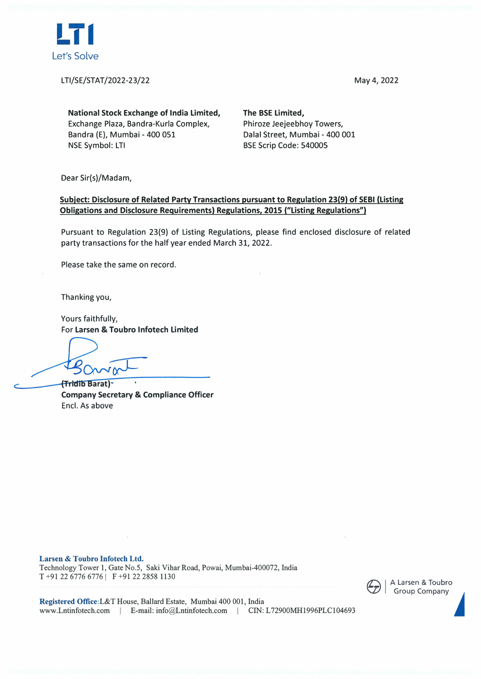

LTI/SE/STAT/2022-23/22 May 4, 2022

**National Stock Exchange of India Limited,**  Exchange Plaza, Bandra-Kurla Complex, Bandra (E), Mumbai - 400 051 NSE Symbol: LTI

**The BSE Limited,**  Phiroze Jeejeebhoy Towers, Dalal Street, Mumbai - 400 001 BSE Scrip Code: 540005

Dear Sir(s)/Madam,

## **Subject: Disclosure of Related Party Transactions pursuant to Regulation 23(9) of SEBI (Listing Obligations and Disclosure Requirements) Regulations, 2015 ("Listing Regulations")**

Pursuant to Regulation 23(9) of Listing Regulations, please find enclosed disclosure of related party transactions for the half year ended March 31, 2022.

Please take the same on record.

Thanking you,

Yours faithfully, For **Larsen & Toubro lnfotech Limited** 

**(Tridib Barat) Company Secretary & Compliance Officer**  Encl. As above

**Larsen** & **Toubro lnfotech Ltd.**  Technology Tower 1, Gate No.5, Saki Vihar Road, Powai, Mumbai-400072, India T +91 22 6776 6776 | F +91 22 2858 1130



**Registered Office:L&T** House, Ballard Estate, Mumbai 400 001, India www.Lntinfotech.com | E-mail: info@Lntinfotech.com | CIN: L72900MH1996PLC104693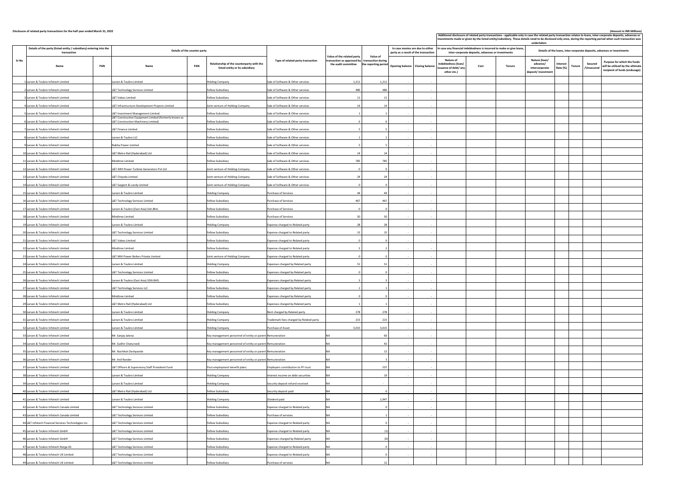|              | Disclosure of related party transactions for the half year ended March 31, 2022                                    |                                                                                              |                                                                                            |                                         |                                                                                                                                  |                                                                                              |                          |                                                                                                                                                                                                                      |      |               |                                                                    |                      |               | (Amount in INR Millions)<br>Additional disclosure of related party transactions - applicable only in case the related party transaction relates to loans, inter-corporate deposits, advances or<br>investments made or given by the listed entity/subsidiary. These details need to be disclosed only once, during the reporting period when such transaction was |
|--------------|--------------------------------------------------------------------------------------------------------------------|----------------------------------------------------------------------------------------------|--------------------------------------------------------------------------------------------|-----------------------------------------|----------------------------------------------------------------------------------------------------------------------------------|----------------------------------------------------------------------------------------------|--------------------------|----------------------------------------------------------------------------------------------------------------------------------------------------------------------------------------------------------------------|------|---------------|--------------------------------------------------------------------|----------------------|---------------|-------------------------------------------------------------------------------------------------------------------------------------------------------------------------------------------------------------------------------------------------------------------------------------------------------------------------------------------------------------------|
|              | Details of the party (listed entity / subsidiary) entering into the<br>Details of the counter party<br>transaction |                                                                                              |                                                                                            |                                         |                                                                                                                                  | In case monies are due to either<br>party as a result of the transaction                     |                          | undertaken.<br>In case any financial indebtedness is incurred to make or give loans,<br>Details of the loans, inter-corporate deposits, advances or investments<br>inter-corporate deposits, advances or investments |      |               |                                                                    |                      |               |                                                                                                                                                                                                                                                                                                                                                                   |
| <b>Sr No</b> | <b>Name</b>                                                                                                        | <b>PAN</b><br><b>Name</b>                                                                    | Relationship of the counterparty with the<br><b>PAN</b><br>listed entity or its subsidiary | Type of related party transaction       | Value of the related party<br>$\vert$ transaction as approved by $\vert\,$ transaction during $\,\vert\,$<br>the audit committee | <b>Value of</b><br>the reporting period $\int$ Opening balance $\int$ Closing balance $\int$ |                          | <b>Nature of</b><br>indebtedness (loan/<br>issuance of debt/ any<br>other etc.)                                                                                                                                      | Cost | <b>Tenure</b> | Nature (loan/<br>advance/<br>intercorporate<br>deposit/ investment | Interest<br>Rate (%) | <b>Tenure</b> | Purpose for which the funds<br><b>Secured</b><br>will be utilised by the ultimate<br>/Unsecure<br>recipient of funds (endusage)                                                                                                                                                                                                                                   |
|              | 1 Larsen & Toubro Infotech Limited                                                                                 | Larsen & Toubro Limited                                                                      | <b>Holding Company</b>                                                                     | Sale of Software & Other services       | 1,211                                                                                                                            | 1,211                                                                                        |                          |                                                                                                                                                                                                                      |      |               |                                                                    |                      |               |                                                                                                                                                                                                                                                                                                                                                                   |
|              | 2 Larsen & Toubro Infotech Limited                                                                                 | L&T Technology Services Limited                                                              | Fellow Subsidiary                                                                          | Sale of Software & Other services       | 486                                                                                                                              | 486                                                                                          |                          |                                                                                                                                                                                                                      |      |               |                                                                    |                      |               |                                                                                                                                                                                                                                                                                                                                                                   |
|              | 3 Larsen & Toubro Infotech Limited                                                                                 | L&T Valves Limited                                                                           | <b>Fellow Subsidiary</b>                                                                   | Sale of Software & Other services       |                                                                                                                                  |                                                                                              |                          |                                                                                                                                                                                                                      |      |               |                                                                    |                      |               |                                                                                                                                                                                                                                                                                                                                                                   |
|              | 4 Larsen & Toubro Infotech Limited                                                                                 | L&T Infrastructure Development Projects Limited                                              | Joint venture of Holding Company                                                           | Sale of Software & Other services       |                                                                                                                                  |                                                                                              |                          |                                                                                                                                                                                                                      |      |               |                                                                    |                      |               |                                                                                                                                                                                                                                                                                                                                                                   |
|              | 5 Larsen & Toubro Infotech Limited                                                                                 | L&T Investment Management Limited                                                            | Fellow Subsidiary                                                                          | Sale of Software & Other services       |                                                                                                                                  |                                                                                              |                          |                                                                                                                                                                                                                      |      |               |                                                                    |                      |               |                                                                                                                                                                                                                                                                                                                                                                   |
|              | 6 Larsen & Toubro Infotech Limited                                                                                 | L&T Construction Equipment Limited (formerly known as<br>L&T Construction Machinery Limited) | <b>Fellow Subsidiary</b>                                                                   | Sale of Software & Other services       |                                                                                                                                  |                                                                                              | $\overline{\phantom{a}}$ |                                                                                                                                                                                                                      |      |               |                                                                    |                      |               |                                                                                                                                                                                                                                                                                                                                                                   |
|              | 7 Larsen & Toubro Infotech Limited                                                                                 | L&T Finance Limited                                                                          | <b>Fellow Subsidiary</b>                                                                   | Sale of Software & Other services       |                                                                                                                                  |                                                                                              |                          |                                                                                                                                                                                                                      |      |               |                                                                    |                      |               |                                                                                                                                                                                                                                                                                                                                                                   |
|              | 8 Larsen & Toubro Infotech Limited                                                                                 | Larsen & Toubro LLC                                                                          | <b>Fellow Subsidiary</b>                                                                   | Sale of Software & Other services       |                                                                                                                                  |                                                                                              |                          |                                                                                                                                                                                                                      |      |               |                                                                    |                      |               |                                                                                                                                                                                                                                                                                                                                                                   |
|              | 9 Larsen & Toubro Infotech Limited                                                                                 | Nabha Power Limited                                                                          | <b>Fellow Subsidiary</b>                                                                   | Sale of Software & Other services       |                                                                                                                                  |                                                                                              | $\sim$                   |                                                                                                                                                                                                                      |      |               |                                                                    |                      |               |                                                                                                                                                                                                                                                                                                                                                                   |
|              | 10 Larsen & Toubro Infotech Limited                                                                                | L&T Metro Rail (Hyderabad) Ltd                                                               | <b>Fellow Subsidiary</b>                                                                   | Sale of Software & Other services       |                                                                                                                                  |                                                                                              |                          |                                                                                                                                                                                                                      |      |               |                                                                    |                      |               |                                                                                                                                                                                                                                                                                                                                                                   |
|              | 11 Larsen & Toubro Infotech Limited                                                                                | Mindtree Limited                                                                             | <b>Fellow Subsidiary</b>                                                                   | Sale of Software & Other services       | 785                                                                                                                              | 785                                                                                          |                          |                                                                                                                                                                                                                      |      |               |                                                                    |                      |               |                                                                                                                                                                                                                                                                                                                                                                   |
|              | 12 Larsen & Toubro Infotech Limited                                                                                | L&T-MHI Power Turbine Generators Pvt Ltd                                                     | Joint venture of Holding Company                                                           | Sale of Software & Other services       |                                                                                                                                  |                                                                                              | $\sim$                   |                                                                                                                                                                                                                      |      |               |                                                                    |                      |               |                                                                                                                                                                                                                                                                                                                                                                   |
|              | 13 Larsen & Toubro Infotech Limited                                                                                | L&T Chiyoda Limited                                                                          | Joint venture of Holding Company                                                           | Sale of Software & Other services       |                                                                                                                                  |                                                                                              |                          |                                                                                                                                                                                                                      |      |               |                                                                    |                      |               |                                                                                                                                                                                                                                                                                                                                                                   |
|              | 14 Larsen & Toubro Infotech Limited                                                                                | L&T Sargent & Lundy Limited                                                                  | Joint venture of Holding Company                                                           | Sale of Software & Other services       |                                                                                                                                  |                                                                                              |                          |                                                                                                                                                                                                                      |      |               |                                                                    |                      |               |                                                                                                                                                                                                                                                                                                                                                                   |
|              | 15 Larsen & Toubro Infotech Limited                                                                                | Larsen & Toubro Limited                                                                      | <b>Holding Company</b>                                                                     | Purchase of Services                    |                                                                                                                                  |                                                                                              |                          |                                                                                                                                                                                                                      |      |               |                                                                    |                      |               |                                                                                                                                                                                                                                                                                                                                                                   |
|              | 16 Larsen & Toubro Infotech Limited                                                                                | L&T Technology Services Limited                                                              | <b>Fellow Subsidiary</b>                                                                   | Purchase of Services                    | 467                                                                                                                              | 467                                                                                          |                          |                                                                                                                                                                                                                      |      |               |                                                                    |                      |               |                                                                                                                                                                                                                                                                                                                                                                   |
|              | 17 Larsen & Toubro Infotech Limited                                                                                | Larsen & Toubro (East Asia) Sdn. Bhd.                                                        | Fellow Subsidiary                                                                          | Purchase of Services                    |                                                                                                                                  |                                                                                              |                          |                                                                                                                                                                                                                      |      |               |                                                                    |                      |               |                                                                                                                                                                                                                                                                                                                                                                   |
|              | 18 Larsen & Toubro Infotech Limited                                                                                | Mindtree Limited                                                                             | Fellow Subsidiary                                                                          | Purchase of Services                    |                                                                                                                                  |                                                                                              |                          |                                                                                                                                                                                                                      |      |               |                                                                    |                      |               |                                                                                                                                                                                                                                                                                                                                                                   |
|              | 19 Larsen & Toubro Infotech Limited                                                                                | Larsen & Toubro Limited                                                                      |                                                                                            | Expense charged to Related party        |                                                                                                                                  |                                                                                              |                          |                                                                                                                                                                                                                      |      |               |                                                                    |                      |               |                                                                                                                                                                                                                                                                                                                                                                   |
|              | 20 Larsen & Toubro Infotech Limited                                                                                |                                                                                              | <b>Holding Company</b>                                                                     |                                         |                                                                                                                                  |                                                                                              |                          |                                                                                                                                                                                                                      |      |               |                                                                    |                      |               |                                                                                                                                                                                                                                                                                                                                                                   |
|              |                                                                                                                    | L&T Technology Services Limited                                                              | Fellow Subsidiary                                                                          | Expense charged to Related party        |                                                                                                                                  |                                                                                              |                          |                                                                                                                                                                                                                      |      |               |                                                                    |                      |               |                                                                                                                                                                                                                                                                                                                                                                   |
|              | 21 Larsen & Toubro Infotech Limited                                                                                | L&T Valves Limited                                                                           | Fellow Subsidiary                                                                          | Expense charged to Related party        |                                                                                                                                  |                                                                                              |                          |                                                                                                                                                                                                                      |      |               |                                                                    |                      |               |                                                                                                                                                                                                                                                                                                                                                                   |
|              | 22 Larsen & Toubro Infotech Limited                                                                                | Mindtree Limited                                                                             | <b>Fellow Subsidiary</b>                                                                   | Expense charged to Related party        |                                                                                                                                  |                                                                                              |                          |                                                                                                                                                                                                                      |      |               |                                                                    |                      |               |                                                                                                                                                                                                                                                                                                                                                                   |
|              | 23 Larsen & Toubro Infotech Limited                                                                                | L&T MHI Power Boilers Private Limited                                                        | Joint venture of Holding Company                                                           | Expense charged to Related party        |                                                                                                                                  |                                                                                              |                          |                                                                                                                                                                                                                      |      |               |                                                                    |                      |               |                                                                                                                                                                                                                                                                                                                                                                   |
|              | 24 Larsen & Toubro Infotech Limited                                                                                | Larsen & Toubro Limited                                                                      | <b>Holding Company</b>                                                                     | Expenses charged by Related party       | 51                                                                                                                               | -51                                                                                          |                          |                                                                                                                                                                                                                      |      |               |                                                                    |                      |               |                                                                                                                                                                                                                                                                                                                                                                   |
|              | 25 Larsen & Toubro Infotech Limited                                                                                | L&T Technology Services Limited                                                              | <b>Fellow Subsidiary</b>                                                                   | Expenses charged by Related party       |                                                                                                                                  |                                                                                              |                          |                                                                                                                                                                                                                      |      |               |                                                                    |                      |               |                                                                                                                                                                                                                                                                                                                                                                   |
|              | 26 Larsen & Toubro Infotech Limited                                                                                | Larsen & Toubro (East Asia) SDN BHD.                                                         | <b>Fellow Subsidiary</b>                                                                   | Expenses charged by Related party       |                                                                                                                                  |                                                                                              |                          |                                                                                                                                                                                                                      |      |               |                                                                    |                      |               |                                                                                                                                                                                                                                                                                                                                                                   |
|              | 27 Larsen & Toubro Infotech Limited                                                                                | L&T Technology Services LLC                                                                  | <b>Fellow Subsidiary</b>                                                                   | Expenses charged by Related party       |                                                                                                                                  |                                                                                              |                          |                                                                                                                                                                                                                      |      |               |                                                                    |                      |               |                                                                                                                                                                                                                                                                                                                                                                   |
|              | 28 Larsen & Toubro Infotech Limited                                                                                | Mindtree Limited                                                                             | <b>Fellow Subsidiary</b>                                                                   | Expenses charged by Related party       |                                                                                                                                  |                                                                                              |                          |                                                                                                                                                                                                                      |      |               |                                                                    |                      |               |                                                                                                                                                                                                                                                                                                                                                                   |
|              | 29 Larsen & Toubro Infotech Limited                                                                                | L&T Metro Rail (Hyderabad) Ltd                                                               | <b>Fellow Subsidiary</b>                                                                   | Expenses charged by Related party       |                                                                                                                                  |                                                                                              |                          |                                                                                                                                                                                                                      |      |               |                                                                    |                      |               |                                                                                                                                                                                                                                                                                                                                                                   |
|              | 30 Larsen & Toubro Infotech Limited                                                                                | Larsen & Toubro Limited                                                                      | <b>Holding Company</b>                                                                     | Rent charged by Related party           | 278                                                                                                                              | 278                                                                                          |                          |                                                                                                                                                                                                                      |      |               |                                                                    |                      |               |                                                                                                                                                                                                                                                                                                                                                                   |
|              | 31 Larsen & Toubro Infotech Limited                                                                                | Larsen & Toubro Limited                                                                      | <b>Holding Company</b>                                                                     | Trademark fees charged by Related party | 215                                                                                                                              | 215                                                                                          |                          |                                                                                                                                                                                                                      |      |               |                                                                    |                      |               |                                                                                                                                                                                                                                                                                                                                                                   |
|              | 32 Larsen & Toubro Infotech Limited                                                                                | Larsen & Toubro Limited                                                                      | <b>Holding Company</b>                                                                     | Purchase of Asset                       | 3,015                                                                                                                            | 3,015                                                                                        |                          |                                                                                                                                                                                                                      |      |               |                                                                    |                      |               |                                                                                                                                                                                                                                                                                                                                                                   |
|              | 33 Larsen & Toubro Infotech Limited                                                                                | Mr. Sanjay Jalona                                                                            | Key management personnel of entity or parent Remuneration                                  |                                         |                                                                                                                                  |                                                                                              |                          |                                                                                                                                                                                                                      |      |               |                                                                    |                      |               |                                                                                                                                                                                                                                                                                                                                                                   |
|              | 34 Larsen & Toubro Infotech Limited                                                                                | Mr. Sudhir Chaturvedi                                                                        | Key management personnel of entity or parent Remuneration                                  |                                         |                                                                                                                                  |                                                                                              |                          |                                                                                                                                                                                                                      |      |               |                                                                    |                      |               |                                                                                                                                                                                                                                                                                                                                                                   |
|              | 35 Larsen & Toubro Infotech Limited                                                                                | Mr. Nachiket Deshpande                                                                       | $\kappa$ Key management personnel of entity or parent Remuneration                         |                                         |                                                                                                                                  |                                                                                              |                          |                                                                                                                                                                                                                      |      |               |                                                                    |                      |               |                                                                                                                                                                                                                                                                                                                                                                   |
|              | 36 Larsen & Toubro Infotech Limited                                                                                | Mr. Anil Rander                                                                              | Key management personnel of entity or parent Remuneration                                  |                                         |                                                                                                                                  |                                                                                              |                          |                                                                                                                                                                                                                      |      |               |                                                                    |                      |               |                                                                                                                                                                                                                                                                                                                                                                   |
|              | 37 Larsen & Toubro Infotech Limited                                                                                | L&T Officers & Supervisory Staff Providend Fund                                              | Post employment benefit plans                                                              | Employers contribution to PF trust      |                                                                                                                                  | 537                                                                                          |                          |                                                                                                                                                                                                                      |      |               |                                                                    |                      |               |                                                                                                                                                                                                                                                                                                                                                                   |
|              | 38 Larsen & Toubro Infotech Limited                                                                                | Larsen & Toubro Limited                                                                      | <b>Holding Company</b>                                                                     | Interest income on debt securities      |                                                                                                                                  |                                                                                              |                          |                                                                                                                                                                                                                      |      |               |                                                                    |                      |               |                                                                                                                                                                                                                                                                                                                                                                   |
|              | 39 Larsen & Toubro Infotech Limited                                                                                | Larsen & Toubro Limited                                                                      | <b>Holding Company</b>                                                                     | Security deposit refund received        |                                                                                                                                  |                                                                                              |                          |                                                                                                                                                                                                                      |      |               |                                                                    |                      |               |                                                                                                                                                                                                                                                                                                                                                                   |
|              | 40 Larsen & Toubro Infotech Limited                                                                                | L&T Metro Rail (Hyderabad) Ltd                                                               | Fellow Subsidiary                                                                          | Security deposit paid                   |                                                                                                                                  |                                                                                              |                          |                                                                                                                                                                                                                      |      |               |                                                                    |                      |               |                                                                                                                                                                                                                                                                                                                                                                   |
|              | 41 Larsen & Toubro Infotech Limited                                                                                | Larsen & Toubro Limited                                                                      | <b>Holding Company</b>                                                                     | Dividend paid                           |                                                                                                                                  | 1,947                                                                                        | $\sim$                   |                                                                                                                                                                                                                      |      |               |                                                                    |                      |               |                                                                                                                                                                                                                                                                                                                                                                   |
|              | 42 Larsen & Toubro Infotech Canada Limited                                                                         | L&T Technology Services Limited                                                              | <b>Fellow Subsidiary</b>                                                                   | Expense charged to Related party        |                                                                                                                                  |                                                                                              |                          |                                                                                                                                                                                                                      |      |               |                                                                    |                      |               |                                                                                                                                                                                                                                                                                                                                                                   |
|              | 43 Larsen & Toubro Infotech Canada Limited                                                                         | L&T Technology Services Limited                                                              | Fellow Subsidiary                                                                          | Purchase of services                    |                                                                                                                                  |                                                                                              | $\sim$                   |                                                                                                                                                                                                                      |      |               |                                                                    |                      |               |                                                                                                                                                                                                                                                                                                                                                                   |
|              | 44 L&T Infotech Financial Services Technologies Inc.                                                               | L&T Technology Services Limited                                                              | Fellow Subsidiary                                                                          | Expense charged to Related party        |                                                                                                                                  |                                                                                              |                          |                                                                                                                                                                                                                      |      |               |                                                                    |                      |               |                                                                                                                                                                                                                                                                                                                                                                   |
|              | 45 Larsen & Toubro Infotech GmbH                                                                                   | L&T Technology Services Limited                                                              | Fellow Subsidiary                                                                          | Expense charged to Related party        |                                                                                                                                  |                                                                                              |                          |                                                                                                                                                                                                                      |      |               |                                                                    |                      |               |                                                                                                                                                                                                                                                                                                                                                                   |
|              | 46 Larsen & Toubro Infotech GmbH                                                                                   | L&T Technology Services Limited                                                              | Fellow Subsidiary                                                                          | Expenses charged by Related party       |                                                                                                                                  |                                                                                              |                          |                                                                                                                                                                                                                      |      |               |                                                                    |                      |               |                                                                                                                                                                                                                                                                                                                                                                   |
|              | 47 Larsen & Toubro Infotech Norge AS                                                                               | L&T Technology Services Limited                                                              | <b>Fellow Subsidiary</b>                                                                   | Expense charged to Related party        |                                                                                                                                  |                                                                                              |                          |                                                                                                                                                                                                                      |      |               |                                                                    |                      |               |                                                                                                                                                                                                                                                                                                                                                                   |
|              | 48 Larsen & Toubro Infotech UK Limited                                                                             | L&T Technology Services Limited                                                              | Fellow Subsidiary                                                                          | Expense charged to Related party        |                                                                                                                                  |                                                                                              |                          |                                                                                                                                                                                                                      |      |               |                                                                    |                      |               |                                                                                                                                                                                                                                                                                                                                                                   |
|              | 49 Larsen & Toubro Infotech UK Limited                                                                             | L&T Technology Services Limited                                                              | Fellow Subsidiary                                                                          | Purchase of services                    |                                                                                                                                  |                                                                                              |                          |                                                                                                                                                                                                                      |      |               |                                                                    |                      |               |                                                                                                                                                                                                                                                                                                                                                                   |